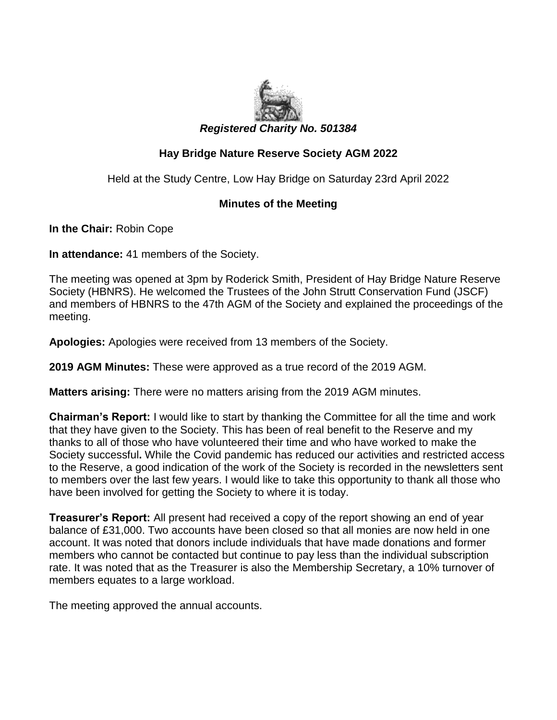

## **Hay Bridge Nature Reserve Society AGM 2022**

Held at the Study Centre, Low Hay Bridge on Saturday 23rd April 2022

## **Minutes of the Meeting**

**In the Chair:** Robin Cope

**In attendance:** 41 members of the Society.

The meeting was opened at 3pm by Roderick Smith, President of Hay Bridge Nature Reserve Society (HBNRS). He welcomed the Trustees of the John Strutt Conservation Fund (JSCF) and members of HBNRS to the 47th AGM of the Society and explained the proceedings of the meeting.

**Apologies:** Apologies were received from 13 members of the Society.

**2019 AGM Minutes:** These were approved as a true record of the 2019 AGM.

**Matters arising:** There were no matters arising from the 2019 AGM minutes.

**Chairman's Report:** I would like to start by thanking the Committee for all the time and work that they have given to the Society. This has been of real benefit to the Reserve and my thanks to all of those who have volunteered their time and who have worked to make the Society successful**.** While the Covid pandemic has reduced our activities and restricted access to the Reserve, a good indication of the work of the Society is recorded in the newsletters sent to members over the last few years. I would like to take this opportunity to thank all those who have been involved for getting the Society to where it is today.

**Treasurer's Report:** All present had received a copy of the report showing an end of year balance of £31,000. Two accounts have been closed so that all monies are now held in one account. It was noted that donors include individuals that have made donations and former members who cannot be contacted but continue to pay less than the individual subscription rate. It was noted that as the Treasurer is also the Membership Secretary, a 10% turnover of members equates to a large workload.

The meeting approved the annual accounts.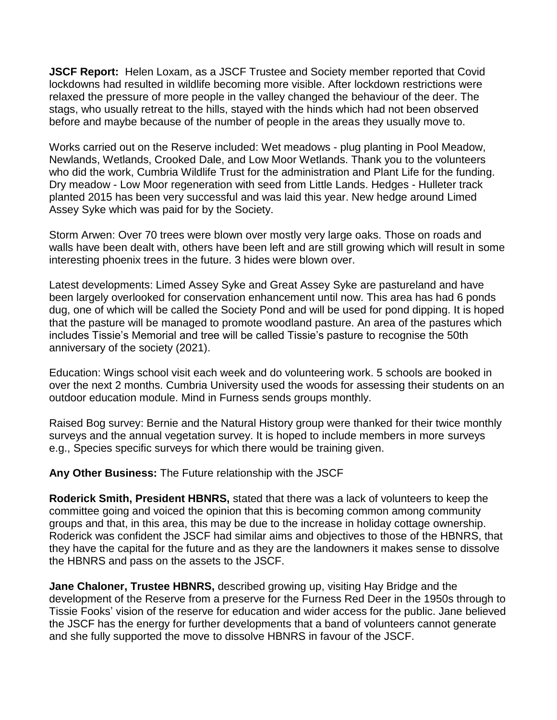**JSCF Report:** Helen Loxam, as a JSCF Trustee and Society member reported that Covid lockdowns had resulted in wildlife becoming more visible. After lockdown restrictions were relaxed the pressure of more people in the valley changed the behaviour of the deer. The stags, who usually retreat to the hills, stayed with the hinds which had not been observed before and maybe because of the number of people in the areas they usually move to.

Works carried out on the Reserve included: Wet meadows - plug planting in Pool Meadow, Newlands, Wetlands, Crooked Dale, and Low Moor Wetlands. Thank you to the volunteers who did the work, Cumbria Wildlife Trust for the administration and Plant Life for the funding. Dry meadow - Low Moor regeneration with seed from Little Lands. Hedges - Hulleter track planted 2015 has been very successful and was laid this year. New hedge around Limed Assey Syke which was paid for by the Society.

Storm Arwen: Over 70 trees were blown over mostly very large oaks. Those on roads and walls have been dealt with, others have been left and are still growing which will result in some interesting phoenix trees in the future. 3 hides were blown over.

Latest developments: Limed Assey Syke and Great Assey Syke are pastureland and have been largely overlooked for conservation enhancement until now. This area has had 6 ponds dug, one of which will be called the Society Pond and will be used for pond dipping. It is hoped that the pasture will be managed to promote woodland pasture. An area of the pastures which includes Tissie's Memorial and tree will be called Tissie's pasture to recognise the 50th anniversary of the society (2021).

Education: Wings school visit each week and do volunteering work. 5 schools are booked in over the next 2 months. Cumbria University used the woods for assessing their students on an outdoor education module. Mind in Furness sends groups monthly.

Raised Bog survey: Bernie and the Natural History group were thanked for their twice monthly surveys and the annual vegetation survey. It is hoped to include members in more surveys e.g., Species specific surveys for which there would be training given.

**Any Other Business:** The Future relationship with the JSCF

**Roderick Smith, President HBNRS,** stated that there was a lack of volunteers to keep the committee going and voiced the opinion that this is becoming common among community groups and that, in this area, this may be due to the increase in holiday cottage ownership. Roderick was confident the JSCF had similar aims and objectives to those of the HBNRS, that they have the capital for the future and as they are the landowners it makes sense to dissolve the HBNRS and pass on the assets to the JSCF.

**Jane Chaloner, Trustee HBNRS,** described growing up, visiting Hay Bridge and the development of the Reserve from a preserve for the Furness Red Deer in the 1950s through to Tissie Fooks' vision of the reserve for education and wider access for the public. Jane believed the JSCF has the energy for further developments that a band of volunteers cannot generate and she fully supported the move to dissolve HBNRS in favour of the JSCF.